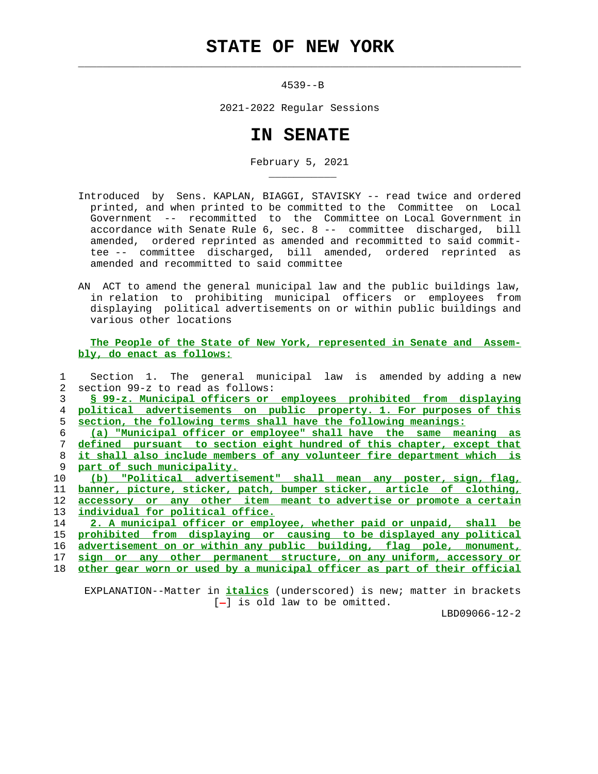## **STATE OF NEW YORK**

 $\mathcal{L}_\text{max} = \frac{1}{2} \sum_{i=1}^{n} \frac{1}{2} \sum_{i=1}^{n} \frac{1}{2} \sum_{i=1}^{n} \frac{1}{2} \sum_{i=1}^{n} \frac{1}{2} \sum_{i=1}^{n} \frac{1}{2} \sum_{i=1}^{n} \frac{1}{2} \sum_{i=1}^{n} \frac{1}{2} \sum_{i=1}^{n} \frac{1}{2} \sum_{i=1}^{n} \frac{1}{2} \sum_{i=1}^{n} \frac{1}{2} \sum_{i=1}^{n} \frac{1}{2} \sum_{i=1}^{n} \frac{1$ 

\_\_\_\_\_\_\_\_\_\_\_

4539--B

2021-2022 Regular Sessions

## **IN SENATE**

February 5, 2021

- Introduced by Sens. KAPLAN, BIAGGI, STAVISKY -- read twice and ordered printed, and when printed to be committed to the Committee on Local Government -- recommitted to the Committee on Local Government in accordance with Senate Rule 6, sec. 8 -- committee discharged, bill amended, ordered reprinted as amended and recommitted to said commit tee -- committee discharged, bill amended, ordered reprinted as amended and recommitted to said committee
- AN ACT to amend the general municipal law and the public buildings law, in relation to prohibiting municipal officers or employees from displaying political advertisements on or within public buildings and various other locations

 **The People of the State of New York, represented in Senate and Assem bly, do enact as follows:**

|                 | Section 1. The general municipal law is amended by adding a new          |
|-----------------|--------------------------------------------------------------------------|
| $\mathcal{L}$   | section 99-z to read as follows:                                         |
| 3               | § 99-z. Municipal officers or employees prohibited from displaying       |
| 4               | political advertisements on public property. 1. For purposes of this     |
| 5               | section, the following terms shall have the following meanings:          |
| 6               | (a) "Municipal officer or employee" shall have the same meaning as       |
| 7               | defined pursuant to section eight hundred of this chapter, except that   |
| 8               | it shall also include members of any volunteer fire department which is  |
| 9               | part of such municipality.                                               |
| 10              | (b) "Political advertisement" shall mean any poster, sign, flag,         |
| 11              | banner, picture, sticker, patch, bumper sticker, article of clothing,    |
| 12              | accessory or any other item meant to advertise or promote a certain      |
| 13 <sup>°</sup> | individual for political office.                                         |
| 14              | 2. A municipal officer or employee, whether paid or unpaid, shall be     |
| 15              | prohibited from displaying or causing to be displayed any political      |
| 16              | advertisement on or within any public building, flag pole, monument,     |
| 17              | any other permanent structure, on any uniform, accessory or<br>sign or   |
| 18              | other gear worn or used by a municipal officer as part of their official |
|                 |                                                                          |

 EXPLANATION--Matter in **italics** (underscored) is new; matter in brackets  $[-]$  is old law to be omitted.

LBD09066-12-2